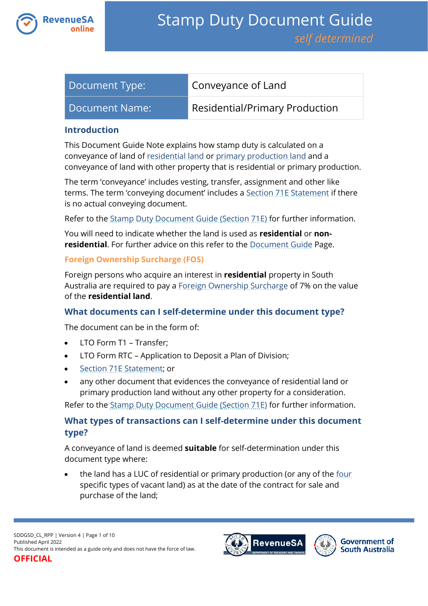

| Document Type: | Conveyance of Land             |
|----------------|--------------------------------|
| Document Name: | Residential/Primary Production |

## **Introduction**

This Document Guide Note explains how stamp duty is calculated on a conveyance of land of [residential land](https://www.revenuesa.sa.gov.au/stampduty/stamp-duty-document-guide#RR&PP) or [primary production land](https://www.revenuesa.sa.gov.au/stampduty/stamp-duty-document-guide#RR&PP) and a conveyance of land with other property that is residential or primary production.

The term 'conveyance' includes vesting, transfer, assignment and other like terms. The term 'conveying document' includes a [Section 71E Statement](https://www.revenuesa.sa.gov.au/forms-and-publications/documents/forms/71estatement.pdf) if there is no actual conveying document.

Refer to the [Stamp Duty Document Guide \(Section 71E\)](https://www.revenuesa.sa.gov.au/stampduty/stamp-duty-document-guide/section71e) for further information.

You will need to indicate whether the land is used as **residential** or **nonresidential**. For further advice on this refer to the **Document Guide Page**.

## **Foreign Ownership Surcharge (FOS)**

Foreign persons who acquire an interest in **residential** property in South Australia are required to pay a [Foreign Ownership Surcharge](https://www.revenuesa.sa.gov.au/stampduty/stamp-duty-document-guide#FOS) of 7% on the value of the **residential land**.

# **What documents can I self-determine under this document type?**

The document can be in the form of:

- LTO Form T1 Transfer:
- LTO Form RTC Application to Deposit a Plan of Division;
- [Section 71E Statement;](https://www.revenuesa.sa.gov.au/forms-and-publications/documents/forms/71estatement.pdf) or
- any other document that evidences the conveyance of residential land or primary production land without any other property for a consideration.

Refer to the [Stamp Duty Document Guide \(Section 71E\)](https://www.revenuesa.sa.gov.au/stampduty/stamp-duty-document-guide/section71e) for further information.

# **What types of transactions can I self-determine under this document type?**

A conveyance of land is deemed **suitable** for self-determination under this document type where:

the land has a LUC of residential or primary production (or any of the [four](https://www.revenuesa.sa.gov.au/stampduty/real-property-land#NotQualifyingLand) specific types of vacant land) as at the date of the contract for sale and purchase of the land;



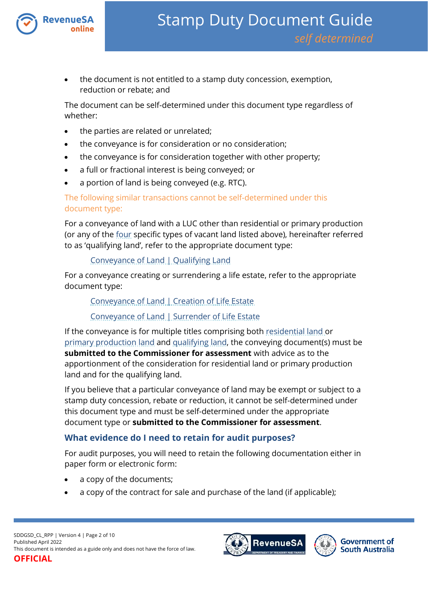

 the document is not entitled to a stamp duty concession, exemption, reduction or rebate; and

The document can be self-determined under this document type regardless of whether:

- the parties are related or unrelated;
- the conveyance is for consideration or no consideration;
- the conveyance is for consideration together with other property;
- a full or fractional interest is being conveyed; or
- a portion of land is being conveyed (e.g. RTC).

The following similar transactions cannot be self-determined under this document type:

For a conveyance of land with a LUC other than residential or primary production (or any of the [four](https://www.revenuesa.sa.gov.au/stampduty/real-property-land#NotQualifyingLand) specific types of vacant land listed above), hereinafter referred to as 'qualifying land', refer to the appropriate document type:

## [Conveyance of Land | Qualifying Land](https://www.revenuesa.sa.gov.au/stampduty/stamp-duty-document-guide/self-determined/conveyance-of-land/sddgsd_cl_ql)

For a conveyance creating or surrendering a life estate, refer to the appropriate document type:

[Conveyance of Land | Creation of Life Estate](https://www.revenuesa.sa.gov.au/stampduty/stamp-duty-document-guide/self-determined/conveyance-of-land/sddgsd_cl_cofle)

## [Conveyance of Land | Surrender of Life Estate](https://www.revenuesa.sa.gov.au/stampduty/stamp-duty-document-guide/self-determined/conveyance-of-land/sddgsd_cl_sofle)

If the conveyance is for multiple titles comprising both [residential land](https://www.revenuesa.sa.gov.au/stampduty/stamp-duty-document-guide#RR&PP) or [primary production land](https://www.revenuesa.sa.gov.au/stampduty/stamp-duty-document-guide#RR&PP) and [qualifying land,](https://www.revenuesa.sa.gov.au/stampduty/stamp-duty-document-guide#Glossary) the conveying document(s) must be **submitted to the Commissioner for assessment** with advice as to the apportionment of the consideration for residential land or primary production land and for the qualifying land.

If you believe that a particular conveyance of land may be exempt or subject to a stamp duty concession, rebate or reduction, it cannot be self-determined under this document type and must be self-determined under the appropriate document type or **submitted to the Commissioner for assessment**.

## **What evidence do I need to retain for audit purposes?**

For audit purposes, you will need to retain the following documentation either in paper form or electronic form:

- a copy of the documents;
- a copy of the contract for sale and purchase of the land (if applicable);



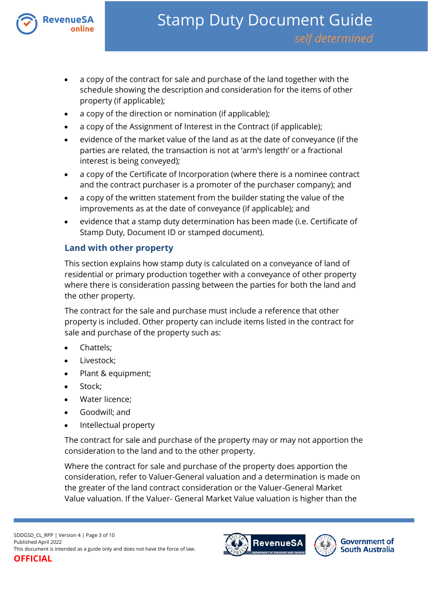

- a copy of the contract for sale and purchase of the land together with the schedule showing the description and consideration for the items of other property (if applicable);
- a copy of the direction or nomination (if applicable);
- a copy of the Assignment of Interest in the Contract (if applicable);
- evidence of the market value of the land as at the date of conveyance (if the parties are related, the transaction is not at 'arm's length' or a fractional interest is being conveyed);
- a copy of the Certificate of Incorporation (where there is a nominee contract and the contract purchaser is a promoter of the purchaser company); and
- a copy of the written statement from the builder stating the value of the improvements as at the date of conveyance (if applicable); and
- evidence that a stamp duty determination has been made (i.e. Certificate of Stamp Duty, Document ID or stamped document).

## **Land with other property**

This section explains how stamp duty is calculated on a conveyance of land of residential or primary production together with a conveyance of other property where there is consideration passing between the parties for both the land and the other property.

The contract for the sale and purchase must include a reference that other property is included. Other property can include items listed in the contract for sale and purchase of the property such as:

- Chattels;
- Livestock;
- Plant & equipment;
- Stock;
- Water licence;
- Goodwill; and
- Intellectual property

The contract for sale and purchase of the property may or may not apportion the consideration to the land and to the other property.

Where the contract for sale and purchase of the property does apportion the consideration, refer to Valuer-General valuation and a determination is made on the greater of the land contract consideration or the Valuer-General Market Value valuation. If the Valuer- General Market Value valuation is higher than the



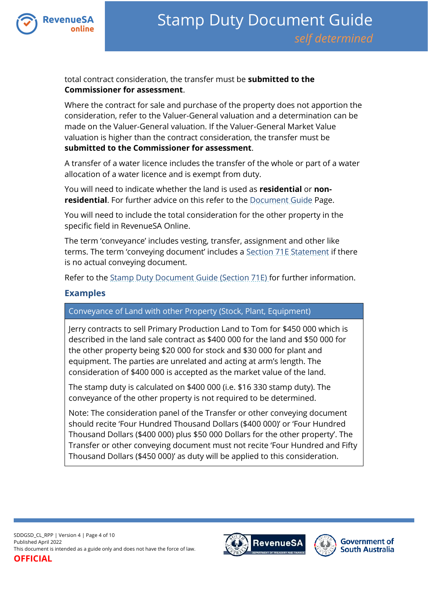

total contract consideration, the transfer must be **submitted to the Commissioner for assessment**.

Where the contract for sale and purchase of the property does not apportion the consideration, refer to the Valuer-General valuation and a determination can be made on the Valuer-General valuation. If the Valuer-General Market Value valuation is higher than the contract consideration, the transfer must be **submitted to the Commissioner for assessment**.

A transfer of a water licence includes the transfer of the whole or part of a water allocation of a water licence and is exempt from duty.

You will need to indicate whether the land is used as **residential** or **nonresidential**. For further advice on this refer to the **Document Guide Page**.

You will need to include the total consideration for the other property in the specific field in RevenueSA Online.

The term 'conveyance' includes vesting, transfer, assignment and other like terms. The term 'conveying document' includes a [Section 71E Statement](https://www.revenuesa.sa.gov.au/forms-and-publications/documents/forms/71estatement.pdf) if there is no actual conveying document.

Refer to the [Stamp Duty Document Guide \(Section 71E\)](https://www.revenuesa.sa.gov.au/stampduty/stamp-duty-document-guide/section71e) for further information.

## **Examples**

Conveyance of Land with other Property (Stock, Plant, Equipment)

Jerry contracts to sell Primary Production Land to Tom for \$450 000 which is described in the land sale contract as \$400 000 for the land and \$50 000 for the other property being \$20 000 for stock and \$30 000 for plant and equipment. The parties are unrelated and acting at arm's length. The consideration of \$400 000 is accepted as the market value of the land.

The stamp duty is calculated on \$400 000 (i.e. \$16 330 stamp duty). The conveyance of the other property is not required to be determined.

Note: The consideration panel of the Transfer or other conveying document should recite 'Four Hundred Thousand Dollars (\$400 000)' or 'Four Hundred Thousand Dollars (\$400 000) plus \$50 000 Dollars for the other property'. The Transfer or other conveying document must not recite 'Four Hundred and Fifty Thousand Dollars (\$450 000)' as duty will be applied to this consideration.

SDDGSD\_CL\_RPP | Version 4 | Page 4 of 10 Published April 2022 This document is intended as a guide only and does not have the force of law. **OFFICIAL**

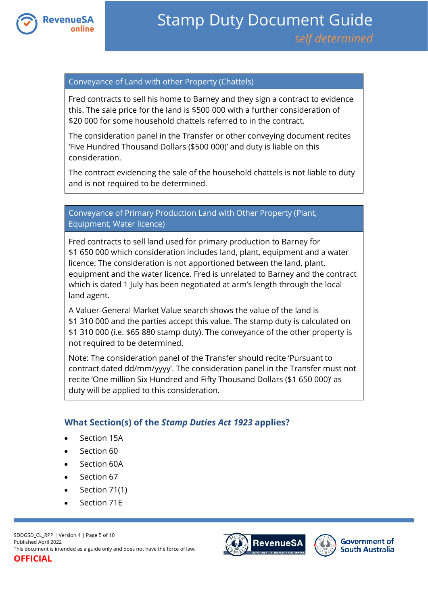

## Conveyance of Land with other Property (Chattels)

Fred contracts to sell his home to Barney and they sign a contract to evidence this. The sale price for the land is \$500 000 with a further consideration of \$20 000 for some household chattels referred to in the contract.

The consideration panel in the Transfer or other conveying document recites 'Five Hundred Thousand Dollars (\$500 000)' and duty is liable on this consideration.

The contract evidencing the sale of the household chattels is not liable to duty and is not required to be determined.

## Conveyance of Primary Production Land with Other Property (Plant, Equipment, Water licence)

Fred contracts to sell land used for primary production to Barney for \$1 650 000 which consideration includes land, plant, equipment and a water licence. The consideration is not apportioned between the land, plant, equipment and the water licence. Fred is unrelated to Barney and the contract which is dated 1 July has been negotiated at arm's length through the local land agent.

A Valuer-General Market Value search shows the value of the land is \$1 310 000 and the parties accept this value. The stamp duty is calculated on \$1 310 000 (i.e. \$65 880 stamp duty). The conveyance of the other property is not required to be determined.

Note: The consideration panel of the Transfer should recite 'Pursuant to contract dated dd/mm/yyyy'. The consideration panel in the Transfer must not recite 'One million Six Hundred and Fifty Thousand Dollars (\$1 650 000)' as duty will be applied to this consideration.

## **What Section(s) of the** *Stamp Duties Act 1923* **applies?**

- Section 15A
- Section 60
- Section 60A
- Section 67
- $\bullet$  Section 71(1)
- Section 71E

SDDGSD\_CL\_RPP | Version 4 | Page 5 of 10 Published April 2022 This document is intended as a guide only and does not have the force of law.



**Government of South Australia** 

# **OFFICIAL**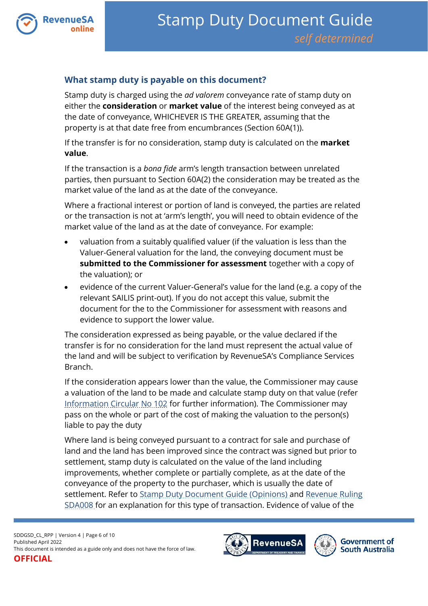

# **What stamp duty is payable on this document?**

Stamp duty is charged using the *ad valorem* conveyance rate of stamp duty on either the **consideration** or **market value** of the interest being conveyed as at the date of conveyance, WHICHEVER IS THE GREATER, assuming that the property is at that date free from encumbrances (Section 60A(1)).

If the transfer is for no consideration, stamp duty is calculated on the **market value**.

If the transaction is a *bona fide* arm's length transaction between unrelated parties, then pursuant to Section 60A(2) the consideration may be treated as the market value of the land as at the date of the conveyance.

Where a fractional interest or portion of land is conveyed, the parties are related or the transaction is not at 'arm's length', you will need to obtain evidence of the market value of the land as at the date of conveyance. For example:

- valuation from a suitably qualified valuer (if the valuation is less than the Valuer-General valuation for the land, the conveying document must be **submitted to the Commissioner for assessment** together with a copy of the valuation); or
- evidence of the current Valuer-General's value for the land (e.g. a copy of the relevant SAILIS print-out). If you do not accept this value, submit the document for the to the Commissioner for assessment with reasons and evidence to support the lower value.

The consideration expressed as being payable, or the value declared if the transfer is for no consideration for the land must represent the actual value of the land and will be subject to verification by RevenueSA's Compliance Services Branch.

If the consideration appears lower than the value, the Commissioner may cause a valuation of the land to be made and calculate stamp duty on that value (refer [Information Circular No 102](https://www.revenuesa.sa.gov.au/forms-and-publications/information-circulars-and-revenue-rulings/information-circulars/ic_102) for further information). The Commissioner may pass on the whole or part of the cost of making the valuation to the person(s) liable to pay the duty

Where land is being conveyed pursuant to a contract for sale and purchase of land and the land has been improved since the contract was signed but prior to settlement, stamp duty is calculated on the value of the land including improvements, whether complete or partially complete, as at the date of the conveyance of the property to the purchaser, which is usually the date of settlement. Refer to [Stamp Duty Document Guide \(Opinions\)](https://www.revenuesa.sa.gov.au/stampduty/stamp-duty-document-guide#Opinions) and [Revenue Ruling](https://www.revenuesa.sa.gov.au/forms-and-publications/information-circulars-and-revenue-rulings/revenue-rulings/sda008)  [SDA008](https://www.revenuesa.sa.gov.au/forms-and-publications/information-circulars-and-revenue-rulings/revenue-rulings/sda008) for an explanation for this type of transaction. Evidence of value of the



**Government of South Australia**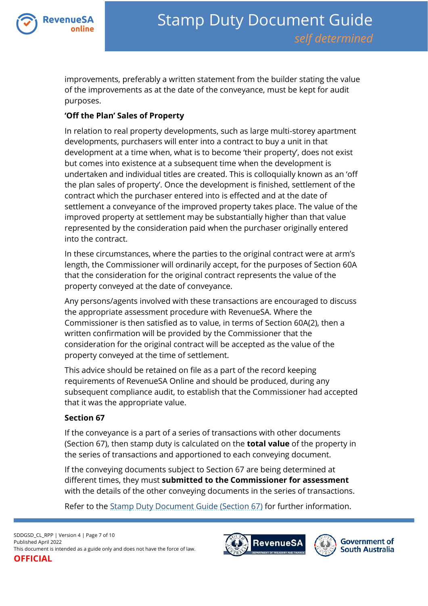

improvements, preferably a written statement from the builder stating the value of the improvements as at the date of the conveyance, must be kept for audit purposes.

## **'Off the Plan' Sales of Property**

In relation to real property developments, such as large multi-storey apartment developments, purchasers will enter into a contract to buy a unit in that development at a time when, what is to become 'their property', does not exist but comes into existence at a subsequent time when the development is undertaken and individual titles are created. This is colloquially known as an 'off the plan sales of property'. Once the development is finished, settlement of the contract which the purchaser entered into is effected and at the date of settlement a conveyance of the improved property takes place. The value of the improved property at settlement may be substantially higher than that value represented by the consideration paid when the purchaser originally entered into the contract.

In these circumstances, where the parties to the original contract were at arm's length, the Commissioner will ordinarily accept, for the purposes of Section 60A that the consideration for the original contract represents the value of the property conveyed at the date of conveyance.

Any persons/agents involved with these transactions are encouraged to discuss the appropriate assessment procedure with RevenueSA. Where the Commissioner is then satisfied as to value, in terms of Section 60A(2), then a written confirmation will be provided by the Commissioner that the consideration for the original contract will be accepted as the value of the property conveyed at the time of settlement.

This advice should be retained on file as a part of the record keeping requirements of RevenueSA Online and should be produced, during any subsequent compliance audit, to establish that the Commissioner had accepted that it was the appropriate value.

## **Section 67**

If the conveyance is a part of a series of transactions with other documents (Section 67), then stamp duty is calculated on the **total value** of the property in the series of transactions and apportioned to each conveying document.

If the conveying documents subject to Section 67 are being determined at different times, they must **submitted to the Commissioner for assessment** with the details of the other conveying documents in the series of transactions.

Refer to the [Stamp Duty Document Guide \(Section 67\)](https://www.revenuesa.sa.gov.au/stampduty/stamp-duty-document-guide/section67) for further information.

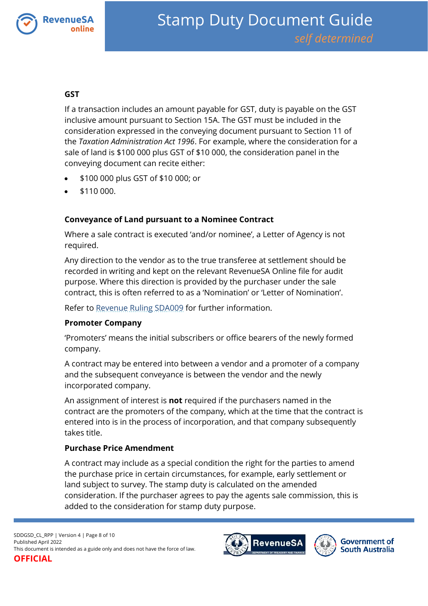

## **GST**

If a transaction includes an amount payable for GST, duty is payable on the GST inclusive amount pursuant to Section 15A. The GST must be included in the consideration expressed in the conveying document pursuant to Section 11 of the *Taxation Administration Act 1996*. For example, where the consideration for a sale of land is \$100 000 plus GST of \$10 000, the consideration panel in the conveying document can recite either:

- \$100 000 plus GST of \$10 000; or
- \$110 000.

## **Conveyance of Land pursuant to a Nominee Contract**

Where a sale contract is executed 'and/or nominee', a Letter of Agency is not required.

Any direction to the vendor as to the true transferee at settlement should be recorded in writing and kept on the relevant RevenueSA Online file for audit purpose. Where this direction is provided by the purchaser under the sale contract, this is often referred to as a 'Nomination' or 'Letter of Nomination'.

Refer to [Revenue Ruling SDA009](https://www.revenuesa.sa.gov.au/forms-and-publications/information-circulars-and-revenue-rulings/revenue-rulings/sda009) for further information.

## **Promoter Company**

'Promoters' means the initial subscribers or office bearers of the newly formed company.

A contract may be entered into between a vendor and a promoter of a company and the subsequent conveyance is between the vendor and the newly incorporated company.

An assignment of interest is **not** required if the purchasers named in the contract are the promoters of the company, which at the time that the contract is entered into is in the process of incorporation, and that company subsequently takes title.

## **Purchase Price Amendment**

A contract may include as a special condition the right for the parties to amend the purchase price in certain circumstances, for example, early settlement or land subject to survey. The stamp duty is calculated on the amended consideration. If the purchaser agrees to pay the agents sale commission, this is added to the consideration for stamp duty purpose.

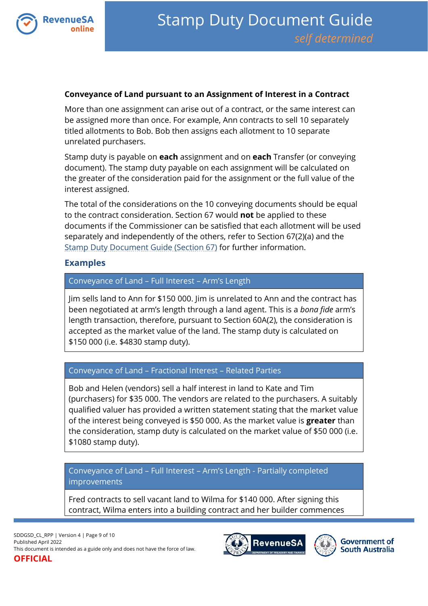

## **Conveyance of Land pursuant to an Assignment of Interest in a Contract**

More than one assignment can arise out of a contract, or the same interest can be assigned more than once. For example, Ann contracts to sell 10 separately titled allotments to Bob. Bob then assigns each allotment to 10 separate unrelated purchasers.

Stamp duty is payable on **each** assignment and on **each** Transfer (or conveying document). The stamp duty payable on each assignment will be calculated on the greater of the consideration paid for the assignment or the full value of the interest assigned.

The total of the considerations on the 10 conveying documents should be equal to the contract consideration. Section 67 would **not** be applied to these documents if the Commissioner can be satisfied that each allotment will be used separately and independently of the others, refer to Section 67(2)(a) and the [Stamp Duty Document Guide \(Section 67\)](https://www.revenuesa.sa.gov.au/stampduty/stamp-duty-document-guide/section67) for further information.

## **Examples**

## Conveyance of Land – Full Interest – Arm's Length

Jim sells land to Ann for \$150 000. Jim is unrelated to Ann and the contract has been negotiated at arm's length through a land agent. This is a *bona fide* arm's length transaction, therefore, pursuant to Section 60A(2), the consideration is accepted as the market value of the land. The stamp duty is calculated on \$150 000 (i.e. \$4830 stamp duty).

## Conveyance of Land – Fractional Interest – Related Parties

Bob and Helen (vendors) sell a half interest in land to Kate and Tim (purchasers) for \$35 000. The vendors are related to the purchasers. A suitably qualified valuer has provided a written statement stating that the market value of the interest being conveyed is \$50 000. As the market value is **greater** than the consideration, stamp duty is calculated on the market value of \$50 000 (i.e. \$1080 stamp duty).

Conveyance of Land – Full Interest – Arm's Length - Partially completed improvements

Fred contracts to sell vacant land to Wilma for \$140 000. After signing this contract, Wilma enters into a building contract and her builder commences